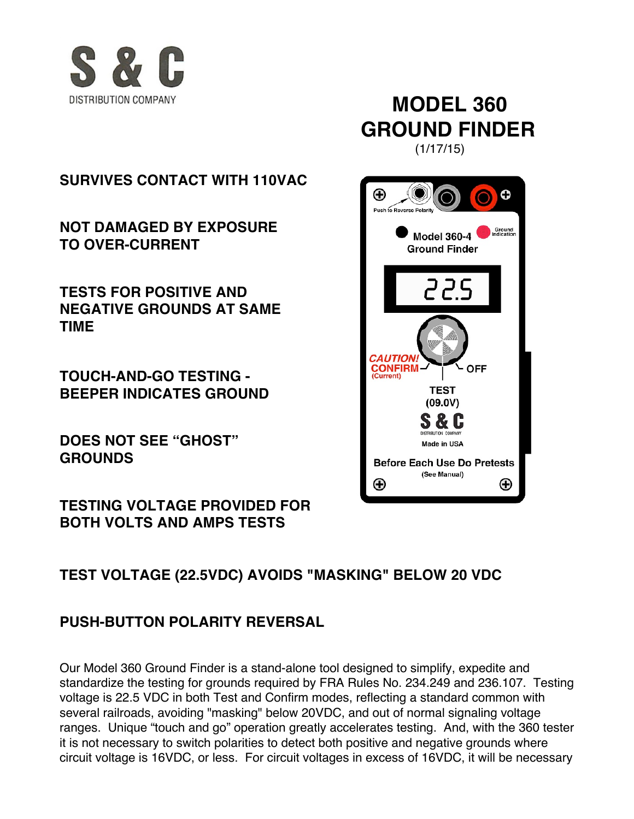

# **MODEL 360 GROUND FINDER**

**SURVIVES CONTACT WITH 110VAC**

**NOT DAMAGED BY EXPOSURE TO OVER-CURRENT**

**TESTS FOR POSITIVE AND NEGATIVE GROUNDS AT SAME TIME**

**TOUCH-AND-GO TESTING - BEEPER INDICATES GROUND**

**DOES NOT SEE "GHOST" GROUNDS**

**TESTING VOLTAGE PROVIDED FOR BOTH VOLTS AND AMPS TESTS**

(1/17/15)



## **TEST VOLTAGE (22.5VDC) AVOIDS "MASKING" BELOW 20 VDC**

## **PUSH-BUTTON POLARITY REVERSAL**

Our Model 360 Ground Finder is a stand-alone tool designed to simplify, expedite and standardize the testing for grounds required by FRA Rules No. 234.249 and 236.107. Testing voltage is 22.5 VDC in both Test and Confirm modes, reflecting a standard common with several railroads, avoiding "masking" below 20VDC, and out of normal signaling voltage ranges. Unique "touch and go" operation greatly accelerates testing. And, with the 360 tester it is not necessary to switch polarities to detect both positive and negative grounds where circuit voltage is 16VDC, or less. For circuit voltages in excess of 16VDC, it will be necessary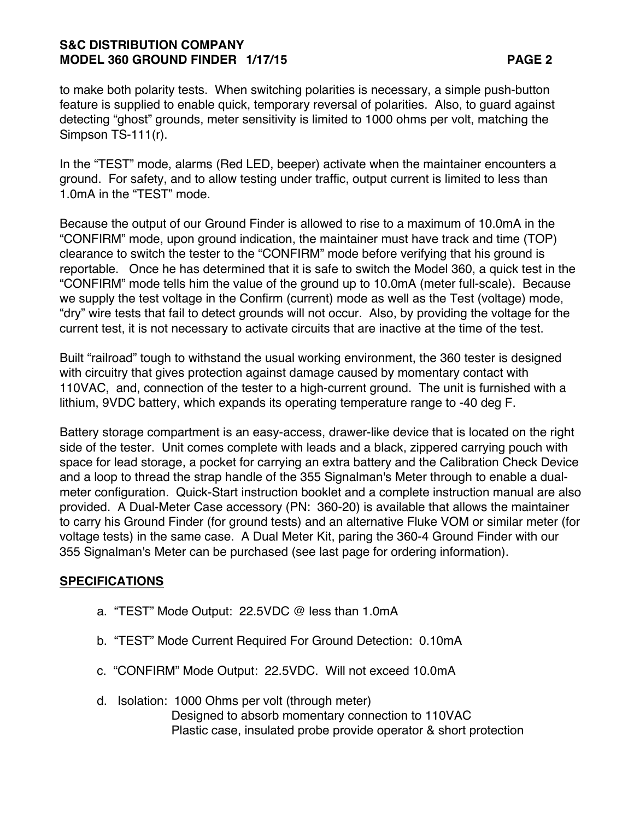### **S&C DISTRIBUTION COMPANY MODEL 360 GROUND FINDER 1/17/15 PAGE 2**

to make both polarity tests. When switching polarities is necessary, a simple push-button feature is supplied to enable quick, temporary reversal of polarities. Also, to guard against detecting "ghost" grounds, meter sensitivity is limited to 1000 ohms per volt, matching the Simpson TS-111(r).

In the "TEST" mode, alarms (Red LED, beeper) activate when the maintainer encounters a ground. For safety, and to allow testing under traffic, output current is limited to less than 1.0mA in the "TEST" mode.

Because the output of our Ground Finder is allowed to rise to a maximum of 10.0mA in the "CONFIRM" mode, upon ground indication, the maintainer must have track and time (TOP) clearance to switch the tester to the "CONFIRM" mode before verifying that his ground is reportable. Once he has determined that it is safe to switch the Model 360, a quick test in the "CONFIRM" mode tells him the value of the ground up to 10.0mA (meter full-scale). Because we supply the test voltage in the Confirm (current) mode as well as the Test (voltage) mode, "dry" wire tests that fail to detect grounds will not occur. Also, by providing the voltage for the current test, it is not necessary to activate circuits that are inactive at the time of the test.

Built "railroad" tough to withstand the usual working environment, the 360 tester is designed with circuitry that gives protection against damage caused by momentary contact with 110VAC, and, connection of the tester to a high-current ground. The unit is furnished with a lithium, 9VDC battery, which expands its operating temperature range to -40 deg F.

Battery storage compartment is an easy-access, drawer-like device that is located on the right side of the tester. Unit comes complete with leads and a black, zippered carrying pouch with space for lead storage, a pocket for carrying an extra battery and the Calibration Check Device and a loop to thread the strap handle of the 355 Signalman's Meter through to enable a dualmeter configuration. Quick-Start instruction booklet and a complete instruction manual are also provided. A Dual-Meter Case accessory (PN: 360-20) is available that allows the maintainer to carry his Ground Finder (for ground tests) and an alternative Fluke VOM or similar meter (for voltage tests) in the same case. A Dual Meter Kit, paring the 360-4 Ground Finder with our 355 Signalman's Meter can be purchased (see last page for ordering information).

#### **SPECIFICATIONS**

- a. "TEST" Mode Output: 22.5VDC @ less than 1.0mA
- b. "TEST" Mode Current Required For Ground Detection: 0.10mA
- c. "CONFIRM" Mode Output: 22.5VDC. Will not exceed 10.0mA
- d. Isolation: 1000 Ohms per volt (through meter) Designed to absorb momentary connection to 110VAC Plastic case, insulated probe provide operator & short protection